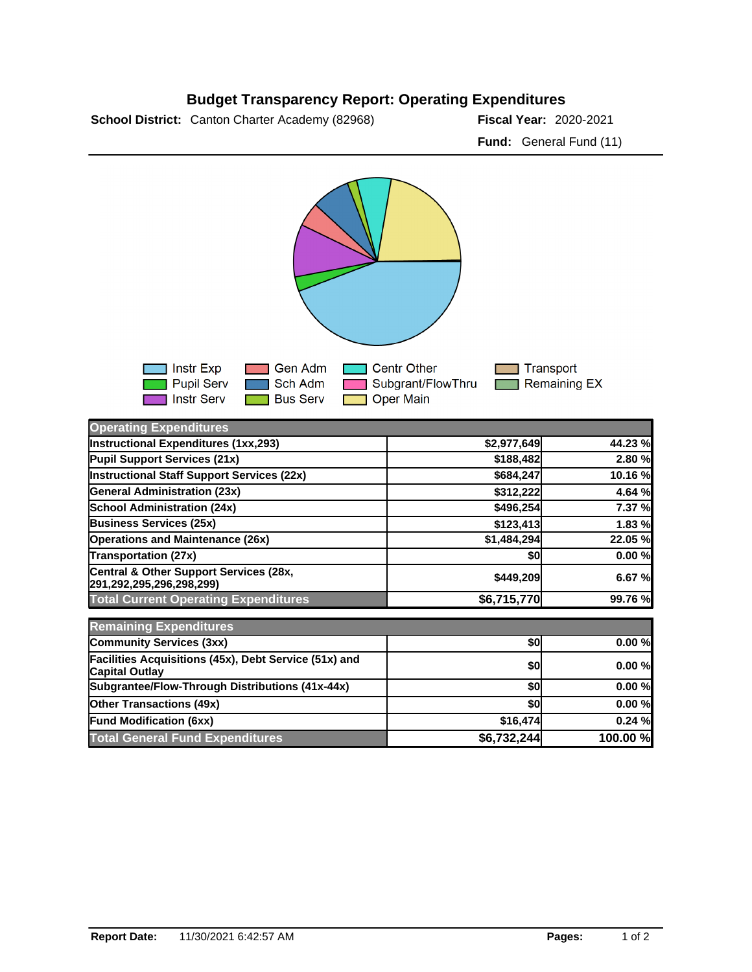## **Budget Transparency Report: Operating Expenditures**

**School District:** Canton Charter Academy (82968) **2020 Fiscal Year:** 2020-2021

**Fund:** General Fund (11)



| <b>Operating Expenditures</b>                                                  |             |          |
|--------------------------------------------------------------------------------|-------------|----------|
| Instructional Expenditures (1xx,293)                                           | \$2,977,649 | 44.23%   |
| Pupil Support Services (21x)                                                   | \$188,482   | 2.80 %   |
| Instructional Staff Support Services (22x)                                     | \$684,247   | 10.16 %  |
| <b>General Administration (23x)</b>                                            | \$312,222   | 4.64 %   |
| <b>School Administration (24x)</b>                                             | \$496,254   | 7.37 %   |
| <b>Business Services (25x)</b>                                                 | \$123,413   | 1.83 %   |
| <b>Operations and Maintenance (26x)</b>                                        | \$1,484,294 | 22.05 %  |
| <b>Transportation (27x)</b>                                                    | \$0         | 0.00%    |
| Central & Other Support Services (28x,<br>291,292,295,296,298,299)             | \$449,209   | 6.67%    |
| <b>Total Current Operating Expenditures</b>                                    | \$6,715,770 | 99.76 %  |
| <b>Remaining Expenditures</b>                                                  |             |          |
| Community Services (3xx)                                                       | \$0         | 0.00%    |
| Facilities Acquisitions (45x), Debt Service (51x) and<br><b>Capital Outlay</b> | \$0         | 0.00%    |
| Subgrantee/Flow-Through Distributions (41x-44x)                                | \$0         | 0.00%    |
| <b>Other Transactions (49x)</b>                                                | \$0         | 0.00%    |
| <b>Fund Modification (6xx)</b>                                                 | \$16,474    | 0.24%    |
| <b>Total General Fund Expenditures</b>                                         | \$6,732,244 | 100.00 % |